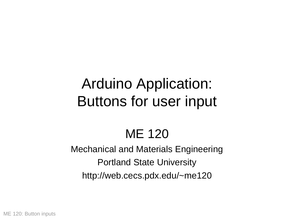# Arduino Application: Buttons for user input

# ME 120

### Mechanical and Materials Engineering Portland State University http://web.cecs.pdx.edu/~me120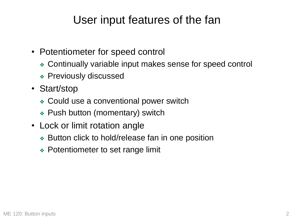### User input features of the fan

- Potentiometer for speed control
	- ❖ Continually variable input makes sense for speed control
	- ❖ Previously discussed
- Start/stop
	- ❖ Could use a conventional power switch
	- ❖ Push button (momentary) switch
- Lock or limit rotation angle
	- ❖ Button click to hold/release fan in one position
	- ❖ Potentiometer to set range limit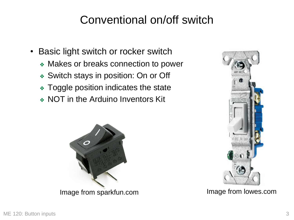### Conventional on/off switch

- Basic light switch or rocker switch
	- ❖ Makes or breaks connection to power
	- ❖ Switch stays in position: On or Off
	- ❖ Toggle position indicates the state
	- ❖ NOT in the Arduino Inventors Kit



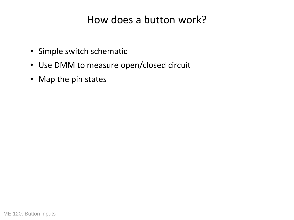#### How does a button work?

- Simple switch schematic
- Use DMM to measure open/closed circuit
- Map the pin states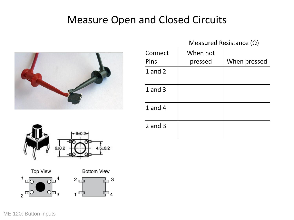#### Measure Open and Closed Circuits



|             | Measured Resistance $(\Omega)$ |              |
|-------------|--------------------------------|--------------|
| Connect     | When not                       |              |
| Pins        | pressed                        | When pressed |
| $1$ and $2$ |                                |              |
| $1$ and $3$ |                                |              |
| 1 and $4$   |                                |              |
| $2$ and $3$ |                                |              |



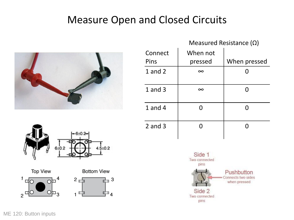#### Measure Open and Closed Circuits







 $\mathbf{a}$ 

⊥ ⊿





ME 120: Button inputs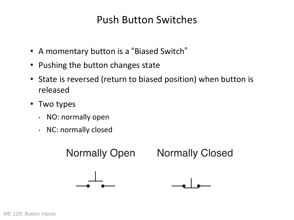#### Push Button Switches

- A momentary button is a "Biased Switch"
- Pushing the button changes state
- State is reversed (return to biased position) when button is released
- Two types
	- NO: normally open
	- NC: normally closed

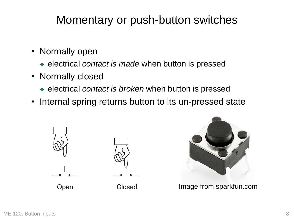### Momentary or push-button switches

- Normally open
	- ❖ electrical *contact is made* when button is pressed
- Normally closed
	- ❖ electrical *contact is broken* when button is pressed
- Internal spring returns button to its un-pressed state





Image from sparkfun.com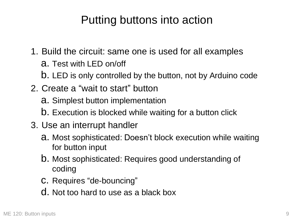### Putting buttons into action

- 1. Build the circuit: same one is used for all examples
	- a. Test with LED on/off
	- b. LED is only controlled by the button, not by Arduino code
- 2. Create a "wait to start" button
	- a. Simplest button implementation
	- b. Execution is blocked while waiting for a button click
- 3. Use an interrupt handler
	- a. Most sophisticated: Doesn't block execution while waiting for button input
	- b. Most sophisticated: Requires good understanding of coding
	- c. Requires "de-bouncing"
	- d. Not too hard to use as a black box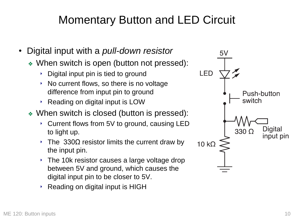## Momentary Button and LED Circuit

- Digital input with a *pull-down resistor*
	- ❖ When switch is open (button not pressed):
		- ‣ Digital input pin is tied to ground
		- $\rightarrow$  No current flows, so there is no voltage difference from input pin to ground
		- ‣ Reading on digital input is LOW
	- ❖ When switch is closed (button is pressed):
		- ‣ Current flows from 5V to ground, causing LED to light up.
		- $\cdot$  The 330 $\Omega$  resistor limits the current draw by the input pin.
		- $\cdot$  The 10k resistor causes a large voltage drop between 5V and ground, which causes the digital input pin to be closer to 5V.
		- ‣ Reading on digital input is HIGH

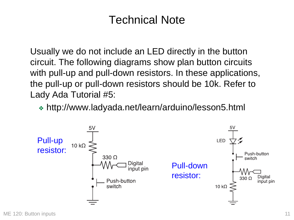### Technical Note

Usually we do not include an LED directly in the button circuit. The following diagrams show plan button circuits with pull-up and pull-down resistors. In these applications, the pull-up or pull-down resistors should be 10k. Refer to Lady Ada Tutorial #5:

❖ http://www.ladyada.net/learn/arduino/lesson5.html

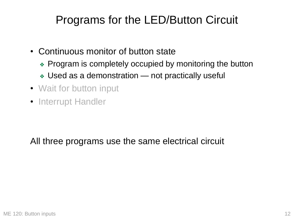## Programs for the LED/Button Circuit

- Continuous monitor of button state
	- ❖ Program is completely occupied by monitoring the button
	- ❖ Used as a demonstration not practically useful
- Wait for button input
- Interrupt Handler

All three programs use the same electrical circuit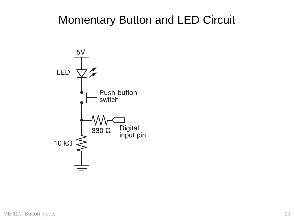### Momentary Button and LED Circuit

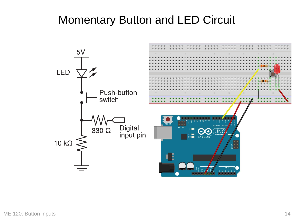### Momentary Button and LED Circuit

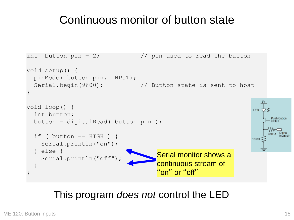### Continuous monitor of button state

```
int button pin = 2; \frac{1}{2} // pin used to read the button
void setup() {
  pinMode( button_pin, INPUT);
  Serial.begin(9600); \frac{1}{10} Button state is sent to host
}
                                                                         5V
void loop() {
                                                                      LED 立夕
  int button;
                                                                            Push-button
  button = digitalRead( button pin );
                                                                            switch
                                                                               Digital
  if ( button == HIGH ) {
                                                                      10 k\OmegaSerial.println("on");
  } else {
                                        Serial monitor shows a 
    Serial.println("off");
                                        continuous stream of 
  }
                                        "on" or "off"
}
```
#### This program *does not* control the LED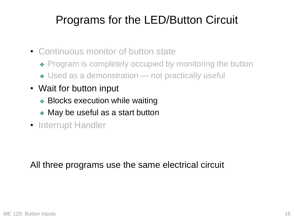## Programs for the LED/Button Circuit

- Continuous monitor of button state
	- ◆ Program is completely occupied by monitoring the button
	- ❖ Used as a demonstration not practically useful
- Wait for button input
	- ❖ Blocks execution while waiting
	- ❖ May be useful as a start button
- Interrupt Handler

All three programs use the same electrical circuit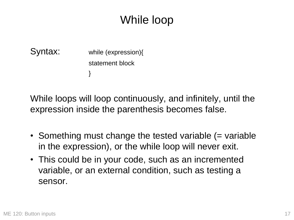## While loop

Syntax: while (expression){ statement block }

While loops will loop continuously, and infinitely, until the expression inside the parenthesis becomes false.

- Something must change the tested variable (= variable in the expression), or the while loop will never exit.
- This could be in your code, such as an incremented variable, or an external condition, such as testing a sensor.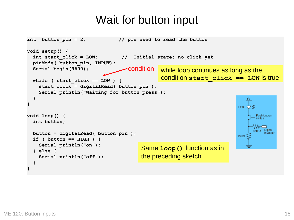### Wait for button input

```
int button_pin = 2; // pin used to read the button
void setup() {
  int start_click = LOW; // Initial state: no click yet
  pinMode( button_pin, INPUT);
                                   conditionSerial.begin(9600);
                                               while loop continues as long as the
                                               condition start_click == LOW is true
  while ( start_click == LOW ) {
    start_click = digitalRead( button_pin );
    Serial.println("Waiting for button press");
  }
                                                                             5V
}
                                                                          LED VZ
void loop() {
                                                                                Push-button
  int button;
                                                                                   Digital
                                                                                330 O.
 button = digitalRead( button_pin );
                                                                                    nput pin
                                                                          10 k\Omegaif ( button == HIGH ) {
    Serial.println("on");
                                        Same loop() function as in 
  } else {
                                        the preceding sketch
    Serial.println("off");
  }
}
```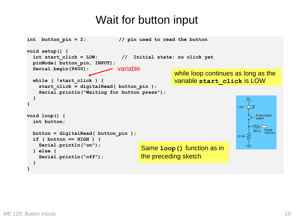### Wait for button input

```
int button_pin = 2; // pin used to read the button
void setup() {
  int start_click = LOW; // Initial state: no click yet
  pinMode( button_pin, INPUT);
                               variableSerial.begin(9600);
                                                    while loop continues as long as the
                                                    variable start_click is LOW
  while ( !start_click ) {
    start_click = digitalRead( button_pin );
    Serial.println("Waiting for button press");
  }
                                                                             5V
}
                                                                          LED VZ
void loop() {
                                                                                Push-button
  int button;
                                                                                   Digital
                                                                                330 O.
  button = digitalRead( button_pin );
                                                                                    nput pin
                                                                          10 k\Omegaif ( button == HIGH ) {
    Serial.println("on");
                                        Same loop() function as in 
  } else {
                                        the preceding sketch
    Serial.println("off");
  }
}
```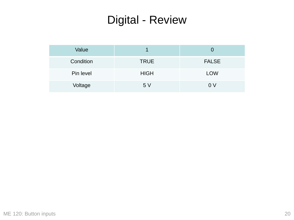## Digital - Review

| Value     |             |              |
|-----------|-------------|--------------|
| Condition | <b>TRUE</b> | <b>FALSE</b> |
| Pin level | <b>HIGH</b> | <b>LOW</b>   |
| Voltage   | 5V          | 0 V          |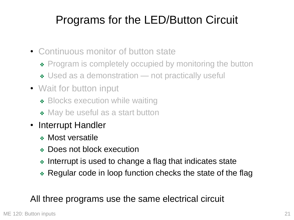## Programs for the LED/Button Circuit

- Continuous monitor of button state
	- ◆ Program is completely occupied by monitoring the button
	- ❖ Used as a demonstration not practically useful
- Wait for button input
	- ❖ Blocks execution while waiting
	- ◆ May be useful as a start button
- Interrupt Handler
	- ❖ Most versatile
	- ❖ Does not block execution
	- ❖ Interrupt is used to change a flag that indicates state
	- ❖ Regular code in loop function checks the state of the flag

#### All three programs use the same electrical circuit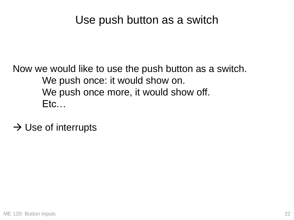### Use push button as a switch

Now we would like to use the push button as a switch. We push once: it would show on. We push once more, it would show off. Etc…

 $\rightarrow$  Use of interrupts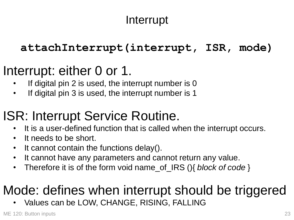## Interrupt

#### **attachInterrupt(interrupt, ISR, mode)**

## Interrupt: either 0 or 1.

- If digital pin 2 is used, the interrupt number is  $0$
- If digital pin 3 is used, the interrupt number is 1

# ISR: Interrupt Service Routine.

- It is a user-defined function that is called when the interrupt occurs.
- It needs to be short.
- It cannot contain the functions delay().
- It cannot have any parameters and cannot return any value.
- Therefore it is of the form void name\_of\_IRS (){ *block of code* }

# Mode: defines when interrupt should be triggered

Values can be LOW, CHANGE, RISING, FALLING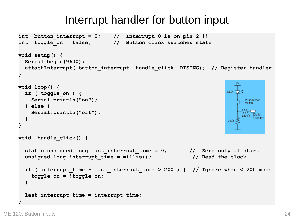```
int button interrupt = 0; // Interrupt 0 is on pin 2 !!
int toggle_on = false; // Button click switches state
void setup() {
  Serial.begin(9600);
  attachInterrupt( button_interrupt, handle_click, RISING); // Register handler
}
                                                                       5٧
void loop() {
                                                                    LED \bigtriangledownif ( toggle_on ) {
    Serial.println("on");
                                                                          Push-button
                                                                          switch
  } else {
    Serial.println("off");
                                                                         330 \Omega Digital
  }
                                                                    10k\Omega}
void handle_click() {
  static unsigned long last_interrupt_time = 0; // Zero only at start
  unsigned long interrupt_time = millis(); // Read the clock
  if ( interrupt_time - last_interrupt_time > 200 ) { // Ignore when < 200 msec
    toggle_on = !toggle_on;
  }
  last_interrupt_time = interrupt_time;
}
```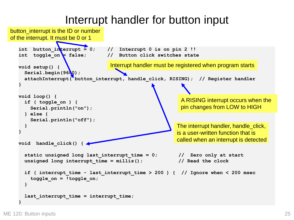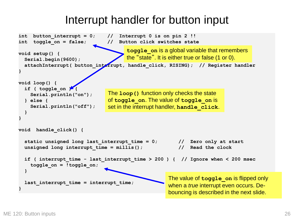```
int button_interrupt = 0; // Interrupt 0 is on pin 2 !!
int toggle_on = false; // Button click switches state
void setup() {
  Serial.begin(9600);
  attachInterrupt( button_interrupt, handle_click, RISING); // Register handler
}
void loop() {
  if ( toggle_on ) {
    Serial.println("on");
  } else {
    Serial.println("off");
  }
}
void handle_click() {
  static unsigned long last_interrupt_time = 0; // Zero only at start
  unsigned long interrupt_time = millis(); // Read the clock
  if ( interrupt_time - last_interrupt_time > 200 ) { // Ignore when < 200 msec
    toggle_on = !toggle_on;
  }
  last_interrupt_time = interrupt_time;
}
                                     toggle_on is a global variable that remembers 
                                     the "state". It is either true or false (1 or 0).
                               The loop() function only checks the state 
                               of toggle_on. The value of toggle_on is 
                               set in the interrupt handler, handle_click.
                                                    The value of toggle_on is flipped only 
                                                    when a true interrupt even occurs. De-
                                                    bouncing is described in the next slide.
```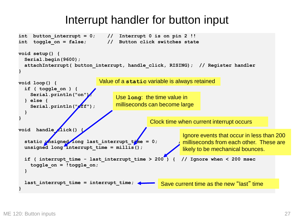```
int button interrupt = 0; // Interrupt 0 is on pin 2 !!
int toggle_on = false; // Button click switches state
void setup() {
  Serial.begin(9600);
  attachInterrupt( button_interrupt, handle_click, RISING); // Register handler
}
void loop() {
  if ( toggle_on ) {
    Serial.println("on");
  } else {
    Serial.println("ff");
  }
}
void handle [lick()
  static \nu is igned long last interrupt t \nu me = 0;
  unsigned long interrupt time = millis();
  if ( interrupt_time - last_interrupt_time > 200 ) { // Ignore when < 200 msec
    toggle_on = !toggle_on;
  }
  last_interrupt_time = interrupt_time;
}
                            Value of a static variable is always retained
                                                           Ignore events that occur in less than 200 
                                                          milliseconds from each other. These are 
                                                           likely to be mechanical bounces.
                                   Use long: the time value in 
                                   milliseconds can become large
                                               Clock time when current interrupt occurs
                                                   Save current time as the new "last" time
```